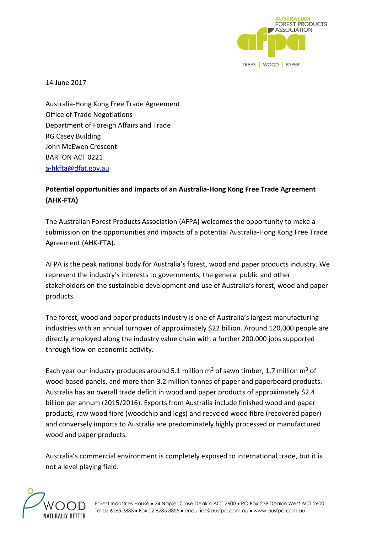

14 June 2017

Australia-Hong Kong Free Trade Agreement Office of Trade Negotiations Department of Foreign Affairs and Trade RG Casey Building John McEwen Crescent BARTON ACT 0221 [a-hkfta@dfat.gov.au](mailto:a-hkfta@dfat.gov.au)

# **Potential opportunities and impacts of an Australia-Hong Kong Free Trade Agreement (AHK-FTA)**

The Australian Forest Products Association (AFPA) welcomes the opportunity to make a submission on the opportunities and impacts of a potential Australia-Hong Kong Free Trade Agreement (AHK-FTA).

AFPA is the peak national body for Australia's forest, wood and paper products industry. We represent the industry's interests to governments, the general public and other stakeholders on the sustainable development and use of Australia's forest, wood and paper products.

The forest, wood and paper products industry is one of Australia's largest manufacturing industries with an annual turnover of approximately \$22 billion. Around 120,000 people are directly employed along the industry value chain with a further 200,000 jobs supported through flow-on economic activity.

Each year our industry produces around 5.1 million  $m^3$  of sawn timber, 1.7 million  $m^3$  of wood-based panels, and more than 3.2 million tonnes of paper and paperboard products. Australia has an overall trade deficit in wood and paper products of approximately \$2.4 billion per annum (2015/2016). Exports from Australia include finished wood and paper products, raw wood fibre (woodchip and logs) and recycled wood fibre (recovered paper) and conversely imports to Australia are predominately highly processed or manufactured wood and paper products.

Australia's commercial environment is completely exposed to international trade, but it is not a level playing field.

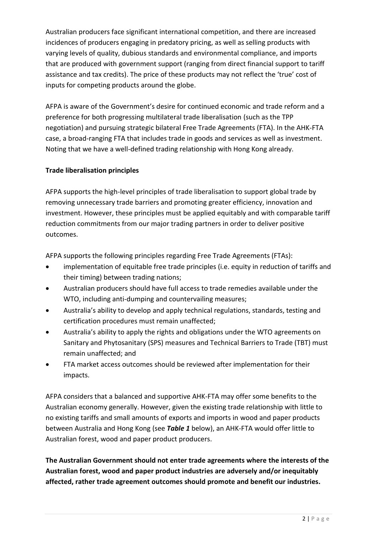Australian producers face significant international competition, and there are increased incidences of producers engaging in predatory pricing, as well as selling products with varying levels of quality, dubious standards and environmental compliance, and imports that are produced with government support (ranging from direct financial support to tariff assistance and tax credits). The price of these products may not reflect the 'true' cost of inputs for competing products around the globe.

AFPA is aware of the Government's desire for continued economic and trade reform and a preference for both progressing multilateral trade liberalisation (such as the TPP negotiation) and pursuing strategic bilateral Free Trade Agreements (FTA). In the AHK-FTA case, a broad-ranging FTA that includes trade in goods and services as well as investment. Noting that we have a well-defined trading relationship with Hong Kong already.

## **Trade liberalisation principles**

AFPA supports the high-level principles of trade liberalisation to support global trade by removing unnecessary trade barriers and promoting greater efficiency, innovation and investment. However, these principles must be applied equitably and with comparable tariff reduction commitments from our major trading partners in order to deliver positive outcomes.

AFPA supports the following principles regarding Free Trade Agreements (FTAs):

- implementation of equitable free trade principles (i.e. equity in reduction of tariffs and their timing) between trading nations;
- Australian producers should have full access to trade remedies available under the WTO, including anti-dumping and countervailing measures;
- Australia's ability to develop and apply technical regulations, standards, testing and certification procedures must remain unaffected;
- Australia's ability to apply the rights and obligations under the WTO agreements on Sanitary and Phytosanitary (SPS) measures and Technical Barriers to Trade (TBT) must remain unaffected; and
- FTA market access outcomes should be reviewed after implementation for their impacts.

AFPA considers that a balanced and supportive AHK-FTA may offer some benefits to the Australian economy generally. However, given the existing trade relationship with little to no existing tariffs and small amounts of exports and imports in wood and paper products between Australia and Hong Kong (see *Table 1* below), an AHK-FTA would offer little to Australian forest, wood and paper product producers.

**The Australian Government should not enter trade agreements where the interests of the Australian forest, wood and paper product industries are adversely and/or inequitably affected, rather trade agreement outcomes should promote and benefit our industries.**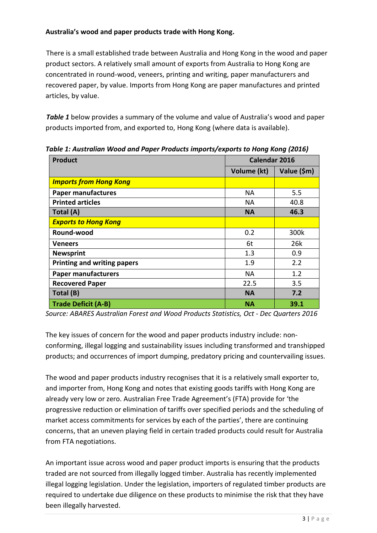## **Australia's wood and paper products trade with Hong Kong.**

There is a small established trade between Australia and Hong Kong in the wood and paper product sectors. A relatively small amount of exports from Australia to Hong Kong are concentrated in round-wood, veneers, printing and writing, paper manufacturers and recovered paper, by value. Imports from Hong Kong are paper manufactures and printed articles, by value.

*Table 1* below provides a summary of the volume and value of Australia's wood and paper products imported from, and exported to, Hong Kong (where data is available).

| <b>Product</b>                     |             | Calendar 2016 |  |
|------------------------------------|-------------|---------------|--|
|                                    | Volume (kt) | Value (\$m)   |  |
| <b>Imports from Hong Kong</b>      |             |               |  |
| <b>Paper manufactures</b>          | NА          | 5.5           |  |
| <b>Printed articles</b>            | NA.         | 40.8          |  |
| Total (A)                          | <b>NA</b>   | 46.3          |  |
| <b>Exports to Hong Kong</b>        |             |               |  |
| Round-wood                         | 0.2         | 300k          |  |
| <b>Veneers</b>                     | 6t          | 26k           |  |
| <b>Newsprint</b>                   | 1.3         | 0.9           |  |
| <b>Printing and writing papers</b> | 1.9         | 2.2           |  |
| <b>Paper manufacturers</b>         | <b>NA</b>   | 1.2           |  |
| <b>Recovered Paper</b>             | 22.5        | 3.5           |  |
| Total (B)                          | <b>NA</b>   | 7.2           |  |
| <b>Trade Deficit (A-B)</b>         | <b>NA</b>   | 39.1          |  |

*Table 1: Australian Wood and Paper Products imports/exports to Hong Kong (2016)*

*Source: ABARES Australian Forest and Wood Products Statistics, Oct - Dec Quarters 2016*

The key issues of concern for the wood and paper products industry include: nonconforming, illegal logging and sustainability issues including transformed and transhipped products; and occurrences of import dumping, predatory pricing and countervailing issues.

The wood and paper products industry recognises that it is a relatively small exporter to, and importer from, Hong Kong and notes that existing goods tariffs with Hong Kong are already very low or zero. Australian Free Trade Agreement's (FTA) provide for 'the progressive reduction or elimination of tariffs over specified periods and the scheduling of market access commitments for services by each of the parties', there are continuing concerns, that an uneven playing field in certain traded products could result for Australia from FTA negotiations.

An important issue across wood and paper product imports is ensuring that the products traded are not sourced from illegally logged timber. Australia has recently implemented illegal logging legislation. Under the legislation, importers of regulated timber products are required to undertake due diligence on these products to minimise the risk that they have been illegally harvested.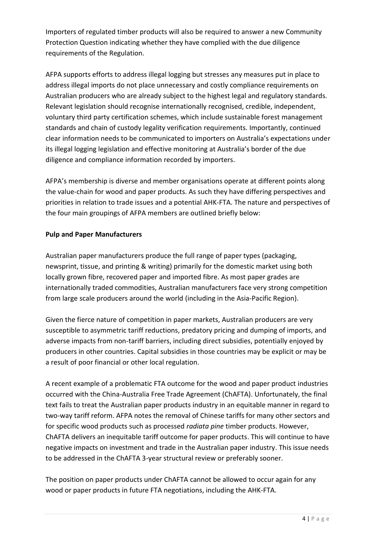Importers of regulated timber products will also be required to answer a new Community Protection Question indicating whether they have complied with the due diligence requirements of the Regulation.

AFPA supports efforts to address illegal logging but stresses any measures put in place to address illegal imports do not place unnecessary and costly compliance requirements on Australian producers who are already subject to the highest legal and regulatory standards. Relevant legislation should recognise internationally recognised, credible, independent, voluntary third party certification schemes, which include sustainable forest management standards and chain of custody legality verification requirements. Importantly, continued clear information needs to be communicated to importers on Australia's expectations under its illegal logging legislation and effective monitoring at Australia's border of the due diligence and compliance information recorded by importers.

AFPA's membership is diverse and member organisations operate at different points along the value-chain for wood and paper products. As such they have differing perspectives and priorities in relation to trade issues and a potential AHK-FTA. The nature and perspectives of the four main groupings of AFPA members are outlined briefly below:

#### **Pulp and Paper Manufacturers**

Australian paper manufacturers produce the full range of paper types (packaging, newsprint, tissue, and printing & writing) primarily for the domestic market using both locally grown fibre, recovered paper and imported fibre. As most paper grades are internationally traded commodities, Australian manufacturers face very strong competition from large scale producers around the world (including in the Asia-Pacific Region).

Given the fierce nature of competition in paper markets, Australian producers are very susceptible to asymmetric tariff reductions, predatory pricing and dumping of imports, and adverse impacts from non-tariff barriers, including direct subsidies, potentially enjoyed by producers in other countries. Capital subsidies in those countries may be explicit or may be a result of poor financial or other local regulation.

A recent example of a problematic FTA outcome for the wood and paper product industries occurred with the China-Australia Free Trade Agreement (ChAFTA). Unfortunately, the final text fails to treat the Australian paper products industry in an equitable manner in regard to two-way tariff reform. AFPA notes the removal of Chinese tariffs for many other sectors and for specific wood products such as processed *radiata pine* timber products. However, ChAFTA delivers an inequitable tariff outcome for paper products. This will continue to have negative impacts on investment and trade in the Australian paper industry. This issue needs to be addressed in the ChAFTA 3-year structural review or preferably sooner.

The position on paper products under ChAFTA cannot be allowed to occur again for any wood or paper products in future FTA negotiations, including the AHK-FTA.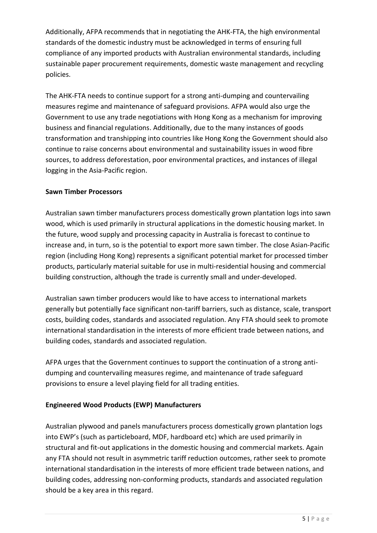Additionally, AFPA recommends that in negotiating the AHK-FTA, the high environmental standards of the domestic industry must be acknowledged in terms of ensuring full compliance of any imported products with Australian environmental standards, including sustainable paper procurement requirements, domestic waste management and recycling policies.

The AHK-FTA needs to continue support for a strong anti-dumping and countervailing measures regime and maintenance of safeguard provisions. AFPA would also urge the Government to use any trade negotiations with Hong Kong as a mechanism for improving business and financial regulations. Additionally, due to the many instances of goods transformation and transhipping into countries like Hong Kong the Government should also continue to raise concerns about environmental and sustainability issues in wood fibre sources, to address deforestation, poor environmental practices, and instances of illegal logging in the Asia-Pacific region.

#### **Sawn Timber Processors**

Australian sawn timber manufacturers process domestically grown plantation logs into sawn wood, which is used primarily in structural applications in the domestic housing market. In the future, wood supply and processing capacity in Australia is forecast to continue to increase and, in turn, so is the potential to export more sawn timber. The close Asian-Pacific region (including Hong Kong) represents a significant potential market for processed timber products, particularly material suitable for use in multi-residential housing and commercial building construction, although the trade is currently small and under-developed.

Australian sawn timber producers would like to have access to international markets generally but potentially face significant non-tariff barriers, such as distance, scale, transport costs, building codes, standards and associated regulation. Any FTA should seek to promote international standardisation in the interests of more efficient trade between nations, and building codes, standards and associated regulation.

AFPA urges that the Government continues to support the continuation of a strong antidumping and countervailing measures regime, and maintenance of trade safeguard provisions to ensure a level playing field for all trading entities.

## **Engineered Wood Products (EWP) Manufacturers**

Australian plywood and panels manufacturers process domestically grown plantation logs into EWP's (such as particleboard, MDF, hardboard etc) which are used primarily in structural and fit-out applications in the domestic housing and commercial markets. Again any FTA should not result in asymmetric tariff reduction outcomes, rather seek to promote international standardisation in the interests of more efficient trade between nations, and building codes, addressing non-conforming products, standards and associated regulation should be a key area in this regard.